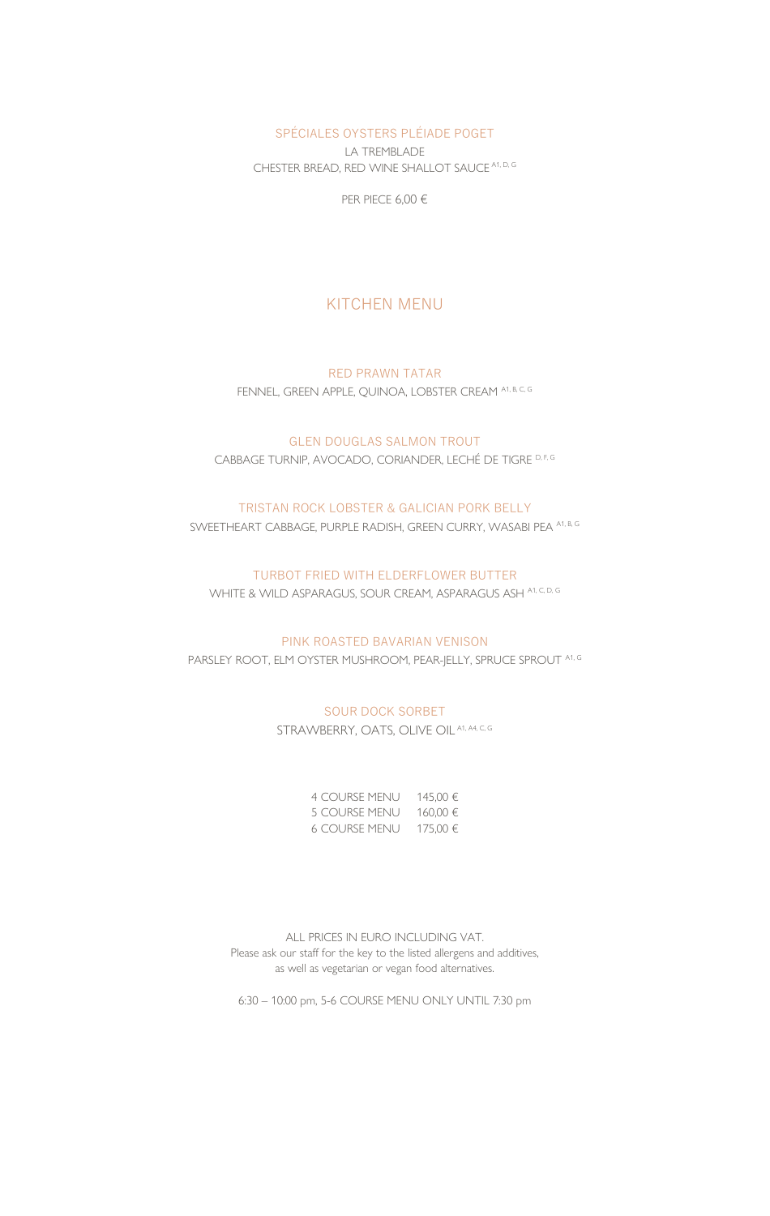SPÉCIALES OYSTERS PLÉIADE POGET

LA TREMBLADE CHESTER BREAD, RED WINE SHALLOT SAUCE A1, D, G

PER PIECE 6,00 €

## KITCHEN MENU

RED PRAWN TATAR FENNEL, GREEN APPLE, QUINOA, LOBSTER CREAM A1, B, C, G

GLEN DOUGLAS SALMON TROUT CABBAGE TURNIP, AVOCADO, CORIANDER, LECHÉ DE TIGRE D, F, G

#### TRISTAN ROCK LOBSTER & GALICIAN PORK BELLY

SWEETHEART CABBAGE, PURPLE RADISH, GREEN CURRY, WASABI PEA A1, B, G

#### TURBOT FRIED WITH ELDERFLOWER BUTTER

WHITE & WILD ASPARAGUS, SOUR CREAM, ASPARAGUS ASH A1, C, D, G

#### PINK ROASTED BAVARIAN VENISON

PARSLEY ROOT, ELM OYSTER MUSHROOM, PEAR-JELLY, SPRUCE SPROUT A1, G

#### SOUR DOCK SORBET

STRAWBERRY, OATS, OLIVE OIL A1, A4, C, G

| <b>4 COURSE MENU</b> | 145.00 € |
|----------------------|----------|
| <b>5 COURSE MENU</b> | 160,00 € |
| 6 COURSE MENU        | 175,00 € |

ALL PRICES IN EURO INCLUDING VAT. Please ask our staff for the key to the listed allergens and additives, as well as vegetarian or vegan food alternatives.

6:30 – 10:00 pm, 5-6 COURSE MENU ONLY UNTIL 7:30 pm